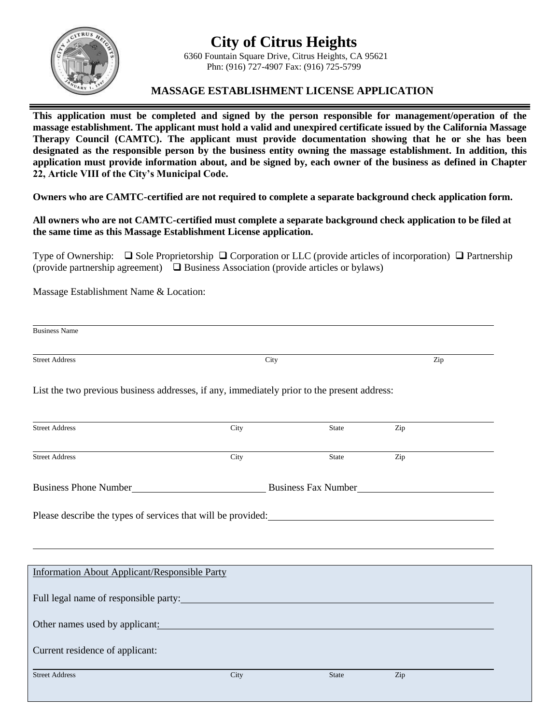



## 6360 Fountain Square Drive, Citrus Heights, CA 95621 Phn: (916) 727-4907 Fax: (916) 725-5799

## **MASSAGE ESTABLISHMENT LICENSE APPLICATION**

**This application must be completed and signed by the person responsible for management/operation of the massage establishment. The applicant must hold a valid and unexpired certificate issued by the California Massage Therapy Council (CAMTC). The applicant must provide documentation showing that he or she has been designated as the responsible person by the business entity owning the massage establishment. In addition, this application must provide information about, and be signed by, each owner of the business as defined in Chapter 22, Article VIII of the City's Municipal Code.**

**Owners who are CAMTC-certified are not required to complete a separate background check application form.**

**All owners who are not CAMTC-certified must complete a separate background check application to be filed at the same time as this Massage Establishment License application.**

Type of Ownership:  $\Box$  Sole Proprietorship  $\Box$  Corporation or LLC (provide articles of incorporation)  $\Box$  Partnership (provide partnership agreement)  $\Box$  Business Association (provide articles or bylaws)

Massage Establishment Name & Location:

| <b>Street Address</b>                                                                                                                                                                                                         | City                                                                                      |       | Zip |  |
|-------------------------------------------------------------------------------------------------------------------------------------------------------------------------------------------------------------------------------|-------------------------------------------------------------------------------------------|-------|-----|--|
| List the two previous business addresses, if any, immediately prior to the present address:                                                                                                                                   |                                                                                           |       |     |  |
| <b>Street Address</b>                                                                                                                                                                                                         | City                                                                                      | State | Zip |  |
| <b>Street Address</b>                                                                                                                                                                                                         | City                                                                                      | State | Zip |  |
| <b>Business Phone Number</b>                                                                                                                                                                                                  | <b>Example 21 Business Fax Number</b><br><u> 1989 - Andrea Barbara, política española</u> |       |     |  |
|                                                                                                                                                                                                                               |                                                                                           |       |     |  |
| Please describe the types of services that will be provided:<br><u>Please</u> describe the types of services that will be provided:                                                                                           |                                                                                           |       |     |  |
| <b>Information About Applicant/Responsible Party</b>                                                                                                                                                                          |                                                                                           |       |     |  |
| Full legal name of responsible party:                                                                                                                                                                                         |                                                                                           |       |     |  |
| Other names used by applicant: example and the state of the state of the state of the state of the state of the state of the state of the state of the state of the state of the state of the state of the state of the state |                                                                                           |       |     |  |
| Current residence of applicant:                                                                                                                                                                                               |                                                                                           |       |     |  |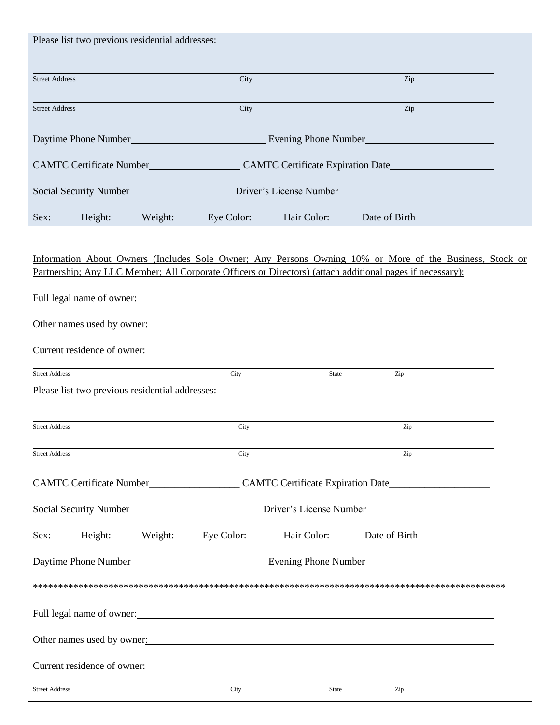| Please list two previous residential addresses:                                                                                                                                                                                |                                                                                                      |       |                         |  |  |
|--------------------------------------------------------------------------------------------------------------------------------------------------------------------------------------------------------------------------------|------------------------------------------------------------------------------------------------------|-------|-------------------------|--|--|
| <b>Street Address</b>                                                                                                                                                                                                          | City                                                                                                 |       | Zip                     |  |  |
| <b>Street Address</b>                                                                                                                                                                                                          | City                                                                                                 |       | Zip                     |  |  |
|                                                                                                                                                                                                                                |                                                                                                      |       |                         |  |  |
|                                                                                                                                                                                                                                | CAMTC Certificate Number_______________________CAMTC Certificate Expiration Date____________________ |       |                         |  |  |
|                                                                                                                                                                                                                                | Social Security Number<br>Driver's License Number<br>Driver's License Number                         |       |                         |  |  |
| Sex: Height: Weight: Eye Color: Hair Color: Date of Birth                                                                                                                                                                      |                                                                                                      |       |                         |  |  |
| Information About Owners (Includes Sole Owner; Any Persons Owning 10% or More of the Business, Stock or<br>Partnership; Any LLC Member; All Corporate Officers or Directors) (attach additional pages if necessary):           |                                                                                                      |       |                         |  |  |
|                                                                                                                                                                                                                                |                                                                                                      |       |                         |  |  |
| Other names used by owner: example and a set of the set of the set of the set of the set of the set of the set of the set of the set of the set of the set of the set of the set of the set of the set of the set of the set o |                                                                                                      |       |                         |  |  |
| Current residence of owner:                                                                                                                                                                                                    |                                                                                                      |       |                         |  |  |
| <b>Street Address</b><br>Please list two previous residential addresses:                                                                                                                                                       | City                                                                                                 | State | Zip                     |  |  |
|                                                                                                                                                                                                                                |                                                                                                      |       |                         |  |  |
| <b>Street Address</b>                                                                                                                                                                                                          | City                                                                                                 |       | Zip                     |  |  |
| <b>Street Address</b>                                                                                                                                                                                                          | City                                                                                                 |       | Zip                     |  |  |
| CAMTC Certificate Number_______________________CAMTC Certificate Expiration Date____________________                                                                                                                           |                                                                                                      |       |                         |  |  |
| Social Security Number<br>Social Security Number                                                                                                                                                                               |                                                                                                      |       | Driver's License Number |  |  |
| Sex: Height: Weight: Eye Color: Hair Color: Date of Birth                                                                                                                                                                      |                                                                                                      |       |                         |  |  |
|                                                                                                                                                                                                                                |                                                                                                      |       |                         |  |  |
|                                                                                                                                                                                                                                |                                                                                                      |       |                         |  |  |
| Full legal name of owner: example and a series of the series of the series of the series of the series of the series of the series of the series of the series of the series of the series of the series of the series of the  |                                                                                                      |       |                         |  |  |
| Other names used by owner:                                                                                                                                                                                                     |                                                                                                      |       |                         |  |  |
| Current residence of owner:                                                                                                                                                                                                    |                                                                                                      |       |                         |  |  |
| <b>Street Address</b>                                                                                                                                                                                                          | City                                                                                                 | State | Zip                     |  |  |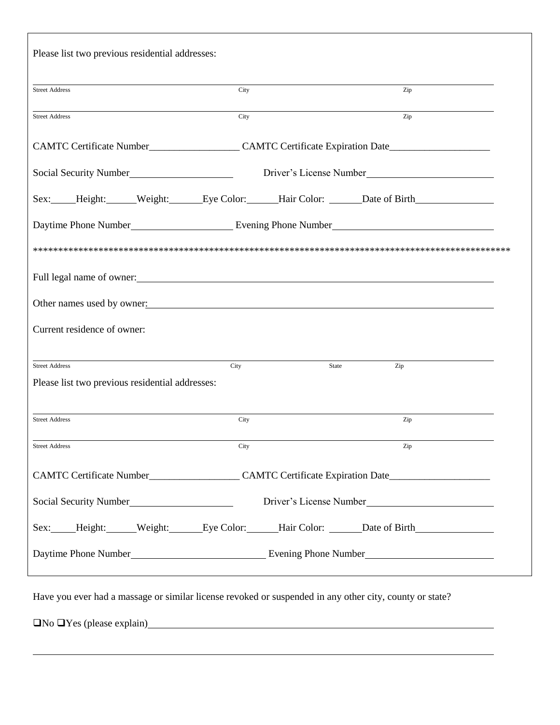| Please list two previous residential addresses:                                                                |                                                                                                                |       |                                                                                  |  |
|----------------------------------------------------------------------------------------------------------------|----------------------------------------------------------------------------------------------------------------|-------|----------------------------------------------------------------------------------|--|
| <b>Street Address</b>                                                                                          | City                                                                                                           |       | Zip                                                                              |  |
| <b>Street Address</b>                                                                                          | City                                                                                                           |       | Zip                                                                              |  |
| CAMTC Certificate Number_______________________CAMTC Certificate Expiration Date______________________________ |                                                                                                                |       |                                                                                  |  |
| Social Security Number<br><u>Social Security Number</u>                                                        |                                                                                                                |       |                                                                                  |  |
| Sex: Height: Weight: Eye Color: Hair Color: Date of Birth                                                      |                                                                                                                |       |                                                                                  |  |
|                                                                                                                |                                                                                                                |       |                                                                                  |  |
|                                                                                                                |                                                                                                                |       |                                                                                  |  |
|                                                                                                                |                                                                                                                |       |                                                                                  |  |
| Other names used by owner:                                                                                     |                                                                                                                |       |                                                                                  |  |
| Current residence of owner:                                                                                    |                                                                                                                |       |                                                                                  |  |
| <b>Street Address</b>                                                                                          |                                                                                                                | State |                                                                                  |  |
| Please list two previous residential addresses:                                                                | City                                                                                                           |       | Zip                                                                              |  |
|                                                                                                                |                                                                                                                |       |                                                                                  |  |
| <b>Street Address</b>                                                                                          | City                                                                                                           |       | Zip                                                                              |  |
| <b>Street Address</b>                                                                                          | City                                                                                                           |       | Zip                                                                              |  |
|                                                                                                                | CAMTC Certificate Number________________________CAMTC Certificate Expiration Date_____________________________ |       |                                                                                  |  |
| Social Security Number<br><u>Letter</u>                                                                        | Driver's License Number                                                                                        |       |                                                                                  |  |
| Sex: Height: Weight: Eye Color: Hair Color: Date of Birth                                                      |                                                                                                                |       |                                                                                  |  |
|                                                                                                                |                                                                                                                |       |                                                                                  |  |
|                                                                                                                |                                                                                                                |       | ,我们也不会有什么。""我们的人,我们也不会有什么?""我们的人,我们也不会有什么?""我们的人,我们也不会有什么?""我们的人,我们也不会有什么?""我们的人 |  |

Have you ever had a massage or similar license revoked or suspended in any other city, county or state?